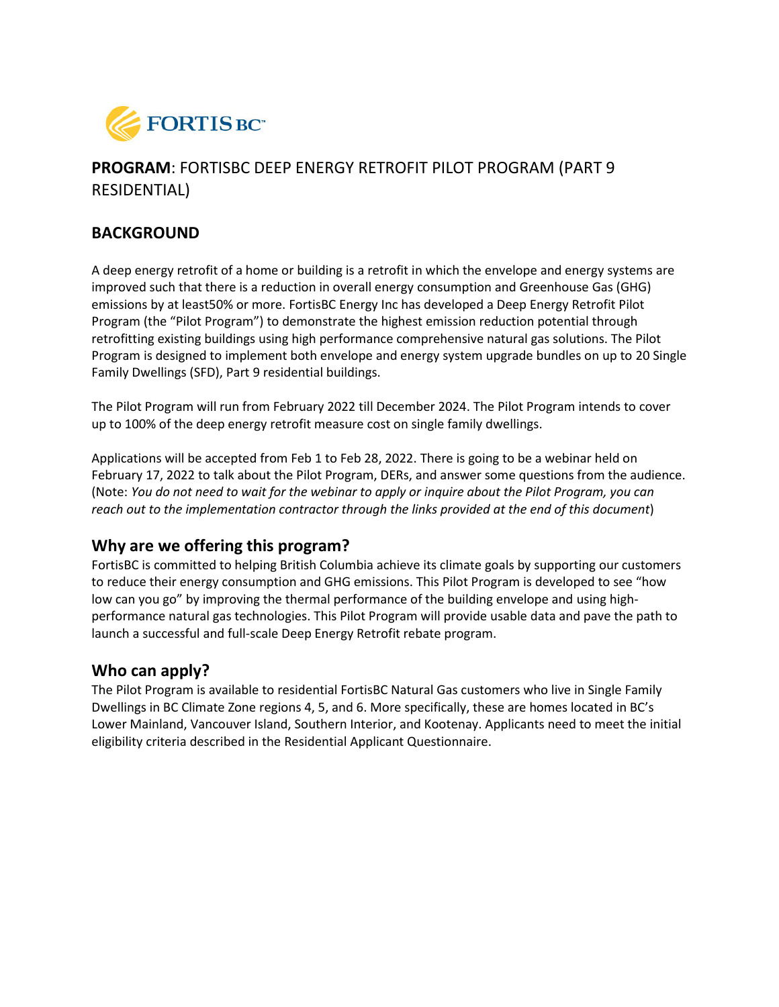

# **PROGRAM**: FORTISBC DEEP ENERGY RETROFIT PILOT PROGRAM (PART 9 RESIDENTIAL)

#### **BACKGROUND**

A deep energy retrofit of a home or building is a retrofit in which the envelope and energy systems are improved such that there is a reduction in overall energy consumption and Greenhouse Gas (GHG) emissions by at least50% or more. FortisBC Energy Inc has developed a Deep Energy Retrofit Pilot Program (the "Pilot Program") to demonstrate the highest emission reduction potential through retrofitting existing buildings using high performance comprehensive natural gas solutions. The Pilot Program is designed to implement both envelope and energy system upgrade bundles on up to 20 Single Family Dwellings (SFD), Part 9 residential buildings.

The Pilot Program will run from February 2022 till December 2024. The Pilot Program intends to cover up to 100% of the deep energy retrofit measure cost on single family dwellings.

Applications will be accepted from Feb 1 to Feb 28, 2022. There is going to be a webinar held on February 17, 2022 to talk about the Pilot Program, DERs, and answer some questions from the audience. (Note: *You do not need to wait for the webinar to apply or inquire about the Pilot Program, you can reach out to the implementation contractor through the links provided at the end of this document*)

#### **Why are we offering this program?**

FortisBC is committed to helping British Columbia achieve its climate goals by supporting our customers to reduce their energy consumption and GHG emissions. This Pilot Program is developed to see "how low can you go" by improving the thermal performance of the building envelope and using highperformance natural gas technologies. This Pilot Program will provide usable data and pave the path to launch a successful and full-scale Deep Energy Retrofit rebate program.

#### **Who can apply?**

The Pilot Program is available to residential FortisBC Natural Gas customers who live in Single Family Dwellings in BC Climate Zone regions 4, 5, and 6. More specifically, these are homes located in BC's Lower Mainland, Vancouver Island, Southern Interior, and Kootenay. Applicants need to meet the initial eligibility criteria described in the Residential Applicant Questionnaire.